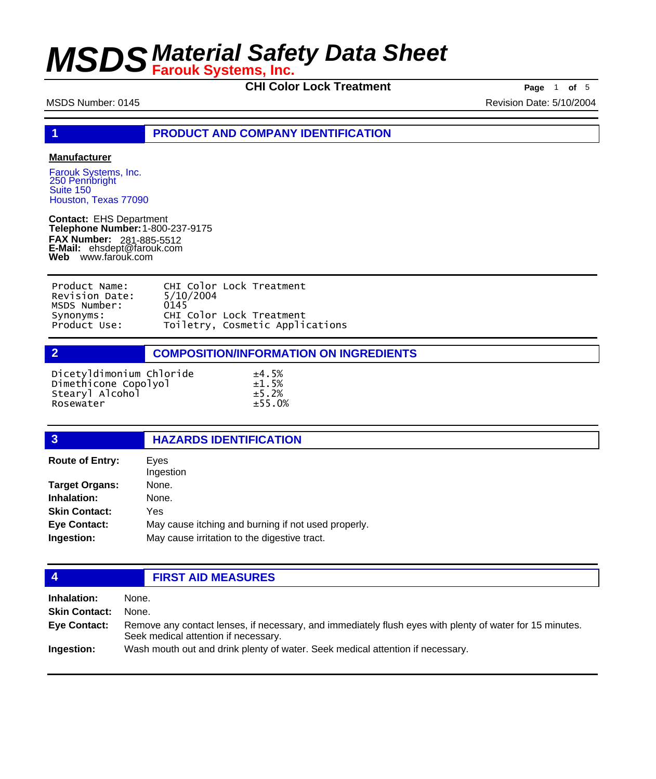**CHI Color Lock Treatment Page** 1 **of** 5

MSDS Number: 0145 Revision Date: 5/10/2004

**1 PRODUCT AND COMPANY IDENTIFICATION**

### **Manufacturer**

Farouk Systems, Inc. 250 Pennbright Suite 150 Houston, Texas 77090

**Contact:** EHS Department **Telephone Number:** 1-800-237-9175 **FAX Number: FAX Number:** 281-885-5512<br>**E-Mail:** ehsdept@farouk.com **Web** www.farouk.com

| Product Name:  | CHI Color Lock Treatment        |
|----------------|---------------------------------|
| Revision Date: | 5/10/2004                       |
| MSDS Number:   | 0145                            |
| Synonyms:      | CHI Color Lock Treatment        |
| Product Use:   | Toiletry, Cosmetic Applications |

**2 COMPOSITION/INFORMATION ON INGREDIENTS**

| Dicetyldimonium Chloride | ±4.5%  |
|--------------------------|--------|
| Dimethicone Copolyol     | ±1.5%  |
| Stearyl Alcohol          | ±5.2%  |
| Rosewater                | ±55.0% |

### **3 HAZARDS IDENTIFICATION**

| Eves<br>Ingestion                                   |
|-----------------------------------------------------|
| None.                                               |
| None.                                               |
| Yes                                                 |
| May cause itching and burning if not used properly. |
| May cause irritation to the digestive tract.        |
|                                                     |

## **4 FIRST AID MEASURES**

**Inhalation:** None. **Skin Contact:** None. Remove any contact lenses, if necessary, and immediately flush eyes with plenty of water for 15 minutes. Seek medical attention if necessary. **Eye Contact: Ingestion:** Wash mouth out and drink plenty of water. Seek medical attention if necessary.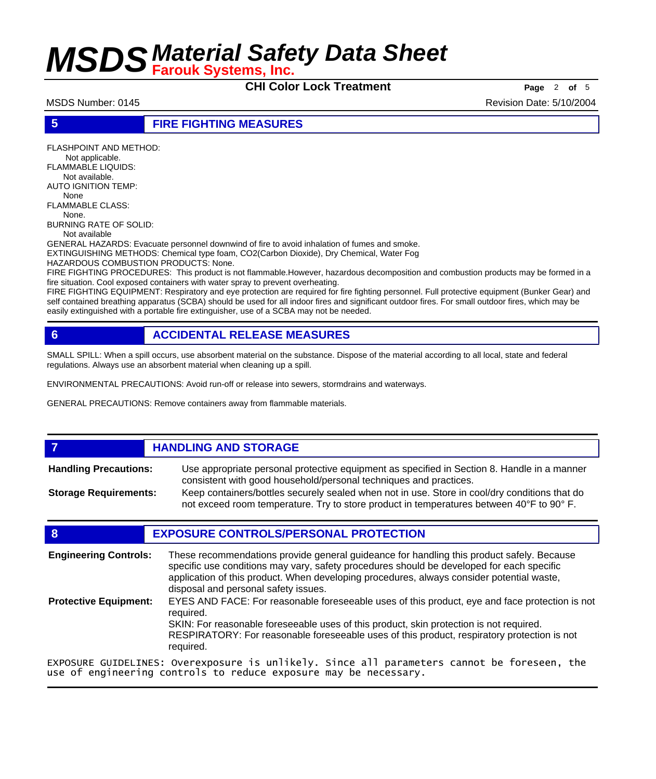**CHI Color Lock Treatment Page** <sup>2</sup> **of** <sup>5</sup>

MSDS Number: 0145 Revision Date: 5/10/2004

### **5 FIRE FIGHTING MEASURES**

FLASHPOINT AND METHOD: Not applicable. FLAMMABLE LIQUIDS: Not available. AUTO IGNITION TEMP: None FLAMMABLE CLASS: None. BURNING RATE OF SOLID: Not available GENERAL HAZARDS: Evacuate personnel downwind of fire to avoid inhalation of fumes and smoke. EXTINGUISHING METHODS: Chemical type foam, CO2(Carbon Dioxide), Dry Chemical, Water Fog HAZARDOUS COMBUSTION PRODUCTS: None.

FIRE FIGHTING PROCEDURES: This product is not flammable.However, hazardous decomposition and combustion products may be formed in a fire situation. Cool exposed containers with water spray to prevent overheating.

FIRE FIGHTING EQUIPMENT: Respiratory and eye protection are required for fire fighting personnel. Full protective equipment (Bunker Gear) and self contained breathing apparatus (SCBA) should be used for all indoor fires and significant outdoor fires. For small outdoor fires, which may be easily extinguished with a portable fire extinguisher, use of a SCBA may not be needed.

# **6 ACCIDENTAL RELEASE MEASURES**

SMALL SPILL: When a spill occurs, use absorbent material on the substance. Dispose of the material according to all local, state and federal regulations. Always use an absorbent material when cleaning up a spill.

ENVIRONMENTAL PRECAUTIONS: Avoid run-off or release into sewers, stormdrains and waterways.

GENERAL PRECAUTIONS: Remove containers away from flammable materials.

## *HANDLING AND STORAGE*

Use appropriate personal protective equipment as specified in Section 8. Handle in a manner consistent with good household/personal techniques and practices. **Handling Precautions:** Keep containers/bottles securely sealed when not in use. Store in cool/dry conditions that do **Storage Requirements:**

not exceed room temperature. Try to store product in temperatures between 40°F to 90° F.

## **8 EXPOSURE CONTROLS/PERSONAL PROTECTION**

These recommendations provide general guideance for handling this product safely. Because specific use conditions may vary, safety procedures should be developed for each specific application of this product. When developing procedures, always consider potential waste, disposal and personal safety issues. **Engineering Controls:** EYES AND FACE: For reasonable foreseeable uses of this product, eye and face protection is not required. SKIN: For reasonable foreseeable uses of this product, skin protection is not required. RESPIRATORY: For reasonable foreseeable uses of this product, respiratory protection is not required. **Protective Equipment:** EXPOSURE GUIDELINES: Overexposure is unlikely. Since all parameters cannot be foreseen, the

use of engineering controls to reduce exposure may be necessary.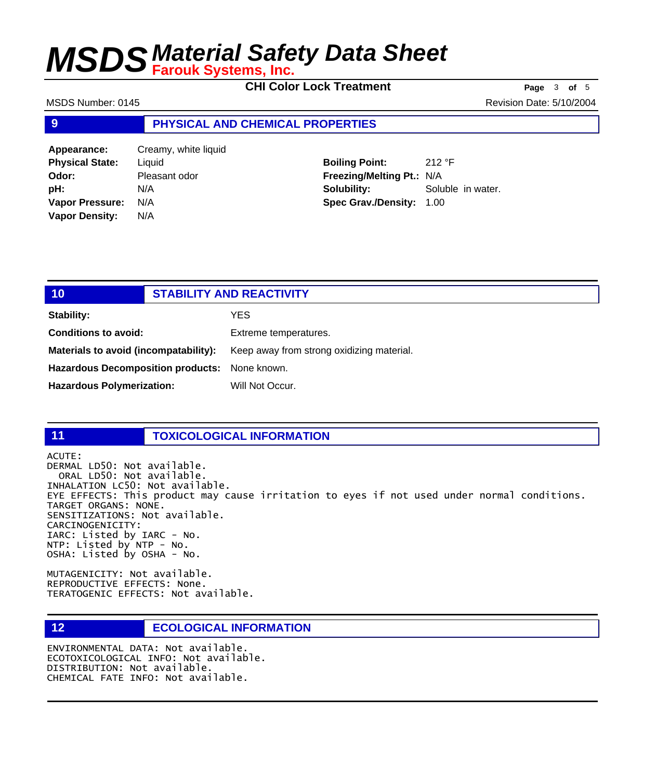**CHI Color Lock Treatment Page** <sup>3</sup> **of** <sup>5</sup>

MSDS Number: 0145 Revision Date: 5/10/2004

### **9 PHYSICAL AND CHEMICAL PROPERTIES**

**Appearance:** Creamy, white liquid **Physical State:** Liquid **Odor:** Pleasant odor **pH:** N/A **Vapor Pressure:** N/A **Vapor Density:** N/A

**Boiling Point:** 212 °F **Freezing/Melting Pt.:** N/A **Solubility:** Soluble in water. **Spec Grav./Density:** 1.00

| 10 <sub>l</sub>                               | <b>STABILITY AND REACTIVITY</b>           |
|-----------------------------------------------|-------------------------------------------|
| Stability:                                    | YES.                                      |
| <b>Conditions to avoid:</b>                   | Extreme temperatures.                     |
| Materials to avoid (incompatability):         | Keep away from strong oxidizing material. |
| Hazardous Decomposition products: None known. |                                           |
| <b>Hazardous Polymerization:</b>              | Will Not Occur.                           |

## **11 TOXICOLOGICAL INFORMATION**

ACUTE: DERMAL LD50: Not available. ORAL LD50: Not available. INHALATION LC50: Not available. EYE EFFECTS: This product may cause irritation to eyes if not used under normal conditions. TARGET ORGANS: NONE. SENSITIZATIONS: Not available. CARCINOGENICITY: IARC: Listed by IARC - No. NTP: Listed by NTP - No. OSHA: Listed by OSHA - No.

MUTAGENICITY: Not available. REPRODUCTIVE EFFECTS: None. TERATOGENIC EFFECTS: Not available.

## **12 ECOLOGICAL INFORMATION**

ENVIRONMENTAL DATA: Not available. ECOTOXICOLOGICAL INFO: Not available. DISTRIBUTION: Not available. CHEMICAL FATE INFO: Not available.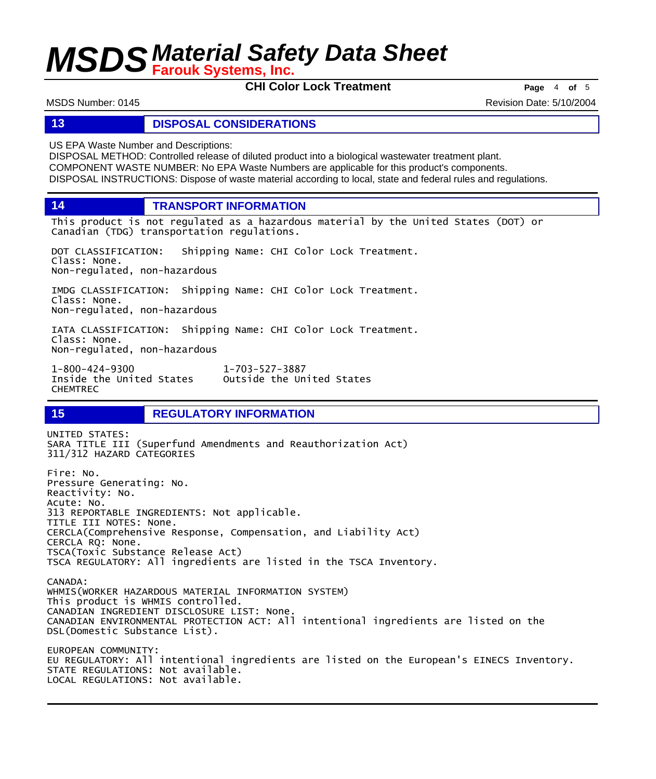**CHI Color Lock Treatment Page** <sup>4</sup> **of** <sup>5</sup>

MSDS Number: 0145 Revision Date: 5/10/2004

### **13 DISPOSAL CONSIDERATIONS**

US EPA Waste Number and Descriptions:

DISPOSAL METHOD: Controlled release of diluted product into a biological wastewater treatment plant. COMPONENT WASTE NUMBER: No EPA Waste Numbers are applicable for this product's components. DISPOSAL INSTRUCTIONS: Dispose of waste material according to local, state and federal rules and regulations.

**14 TRANSPORT INFORMATION**

This product is not regulated as a hazardous material by the United States (DOT) or Canadian (TDG) transportation regulations.

DOT CLASSIFICATION: Shipping Name: CHI Color Lock Treatment. Class: None. Non-regulated, non-hazardous

IMDG CLASSIFICATION: Shipping Name: CHI Color Lock Treatment. Class: None. Non-regulated, non-hazardous

IATA CLASSIFICATION: Shipping Name: CHI Color Lock Treatment. Class: None. Non-regulated, non-hazardous

1-800-424-9300 1-703-527-3887 Outside the United States CHEMTREC

**15 REGULATORY INFORMATION**

UNITED STATES: SARA TITLE III (Superfund Amendments and Reauthorization Act) 311/312 HAZARD CATEGORIES Fire: No. Pressure Generating: No. Reactivity: No. Acute: No. 313 REPORTABLE INGREDIENTS: Not applicable. TITLE III NOTES: None. CERCLA(Comprehensive Response, Compensation, and Liability Act) CERCLA RQ: None. TSCA(Toxic Substance Release Act) TSCA REGULATORY: All ingredients are listed in the TSCA Inventory. CANADA: WHMIS(WORKER HAZARDOUS MATERIAL INFORMATION SYSTEM) This product is WHMIS controlled. CANADIAN INGREDIENT DISCLOSURE LIST: None. CANADIAN ENVIRONMENTAL PROTECTION ACT: All intentional ingredients are listed on the DSL(Domestic Substance List). EUROPEAN COMMUNITY: EU REGULATORY: All intentional ingredients are listed on the European's EINECS Inventory. STATE REGULATIONS: Not available. LOCAL REGULATIONS: Not available.